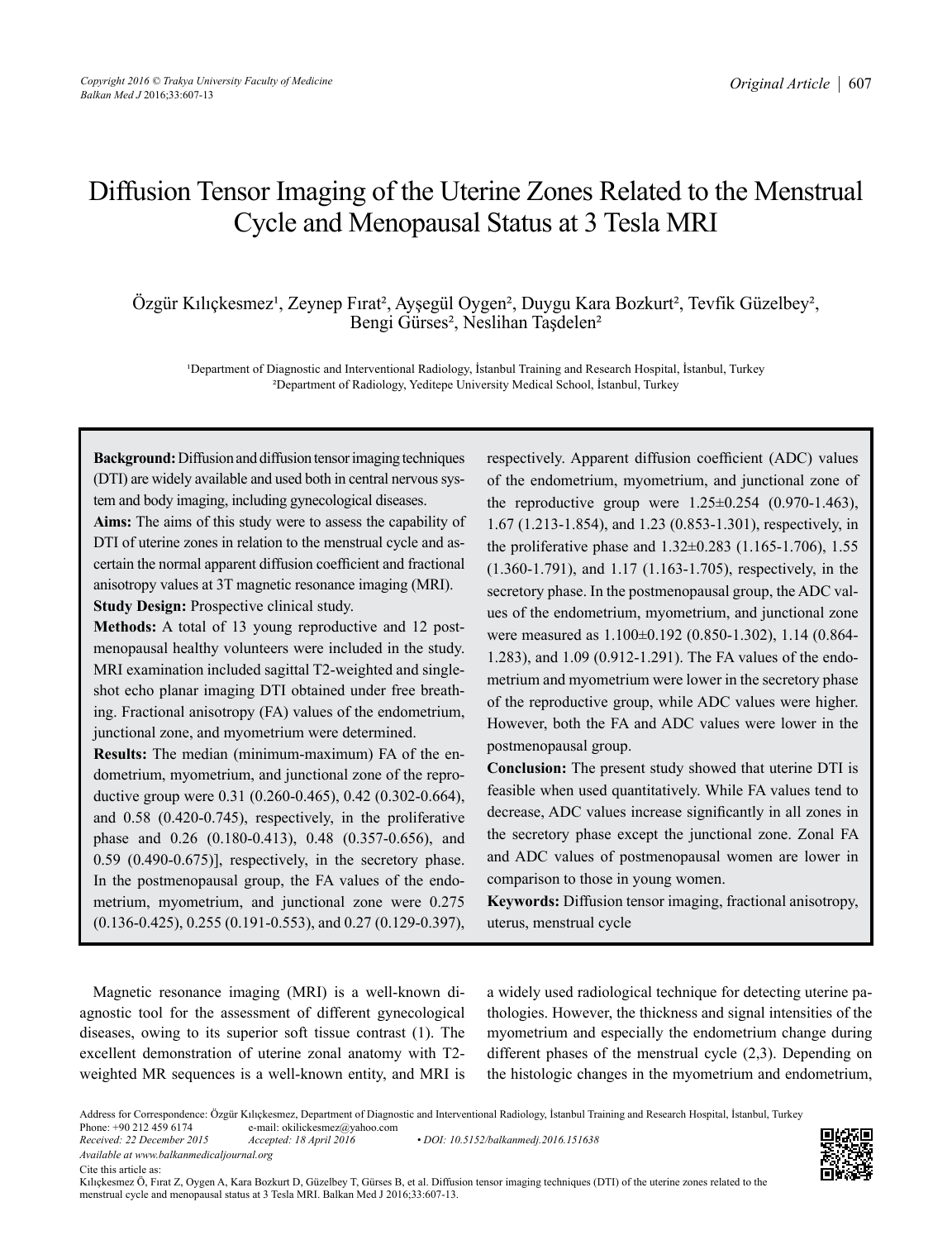# Diffusion Tensor Imaging of the Uterine Zones Related to the Menstrual Cycle and Menopausal Status at 3 Tesla MRI

Özgür Kılıçkesmez<sup>i</sup>, Zeynep Fırat<sup>2</sup>, Ayşegül Oygen<sup>2</sup>, Duygu Kara Bozkurt<sup>2</sup>, Tevfik Güzelbey<sup>2</sup>, Bengi Gürses², Neslihan Taşdelen²

<sup>1</sup>Department of Diagnostic and Interventional Radiology, İstanbul Training and Research Hospital, İstanbul, Turkey ²Department of Radiology, Yeditepe University Medical School, İstanbul, Turkey

**Background:** Diffusion and diffusion tensor imaging techniques (DTI) are widely available and used both in central nervous system and body imaging, including gynecological diseases.

**Aims:** The aims of this study were to assess the capability of DTI of uterine zones in relation to the menstrual cycle and ascertain the normal apparent diffusion coefficient and fractional anisotropy values at 3T magnetic resonance imaging (MRI). **Study Design:** Prospective clinical study.

**Methods:** A total of 13 young reproductive and 12 postmenopausal healthy volunteers were included in the study. MRI examination included sagittal T2-weighted and singleshot echo planar imaging DTI obtained under free breathing. Fractional anisotropy (FA) values of the endometrium, junctional zone, and myometrium were determined.

**Results:** The median (minimum-maximum) FA of the endometrium, myometrium, and junctional zone of the reproductive group were 0.31 (0.260-0.465), 0.42 (0.302-0.664), and 0.58 (0.420-0.745), respectively, in the proliferative phase and 0.26 (0.180-0.413), 0.48 (0.357-0.656), and 0.59 (0.490-0.675)], respectively, in the secretory phase. In the postmenopausal group, the FA values of the endometrium, myometrium, and junctional zone were 0.275 (0.136-0.425), 0.255 (0.191-0.553), and 0.27 (0.129-0.397),

respectively. Apparent diffusion coefficient (ADC) values of the endometrium, myometrium, and junctional zone of the reproductive group were  $1.25 \pm 0.254$  (0.970-1.463), 1.67 (1.213-1.854), and 1.23 (0.853-1.301), respectively, in the proliferative phase and 1.32±0.283 (1.165-1.706), 1.55 (1.360-1.791), and 1.17 (1.163-1.705), respectively, in the secretory phase. In the postmenopausal group, the ADC values of the endometrium, myometrium, and junctional zone were measured as 1.100±0.192 (0.850-1.302), 1.14 (0.864- 1.283), and 1.09 (0.912-1.291). The FA values of the endometrium and myometrium were lower in the secretory phase of the reproductive group, while ADC values were higher. However, both the FA and ADC values were lower in the postmenopausal group.

**Conclusion:** The present study showed that uterine DTI is feasible when used quantitatively. While FA values tend to decrease, ADC values increase significantly in all zones in the secretory phase except the junctional zone. Zonal FA and ADC values of postmenopausal women are lower in comparison to those in young women.

**Keywords:** Diffusion tensor imaging, fractional anisotropy, uterus, menstrual cycle

Magnetic resonance imaging (MRI) is a well-known diagnostic tool for the assessment of different gynecological diseases, owing to its superior soft tissue contrast (1). The excellent demonstration of uterine zonal anatomy with T2 weighted MR sequences is a well-known entity, and MRI is a widely used radiological technique for detecting uterine pathologies. However, the thickness and signal intensities of the myometrium and especially the endometrium change during different phases of the menstrual cycle (2,3). Depending on the histologic changes in the myometrium and endometrium,

*Received: 22 December 2015 Accepted: 18 April 2016 • DOI: 10.5152/balkanmedj.2016.151638*

*Available at www.balkanmedicaljournal.org*

Cite this article as:

Kılıçkesmez Ö, Fırat Z, Oygen A, Kara Bozkurt D, Güzelbey T, Gürses B, et al. Diffusion tensor imaging techniques (DTI) of the uterine zones related to the menstrual cycle and menopausal status at 3 Tesla MRI. Balkan Med J 2016;33:607-13.



Address for Correspondence: Özgür Kılıçkesmez, Department of Diagnostic and Interventional Radiology, İstanbul Training and Research Hospital, İstanbul, Turkey<br>Phone: +90 212 459 6174 e-mail: okilickesmez@yahoo.com

Phone: +90 212 459 6174 e-mail: okilickesmez@yahoo.com<br>Received: 22 December 2015 Accepted: 18 April 2016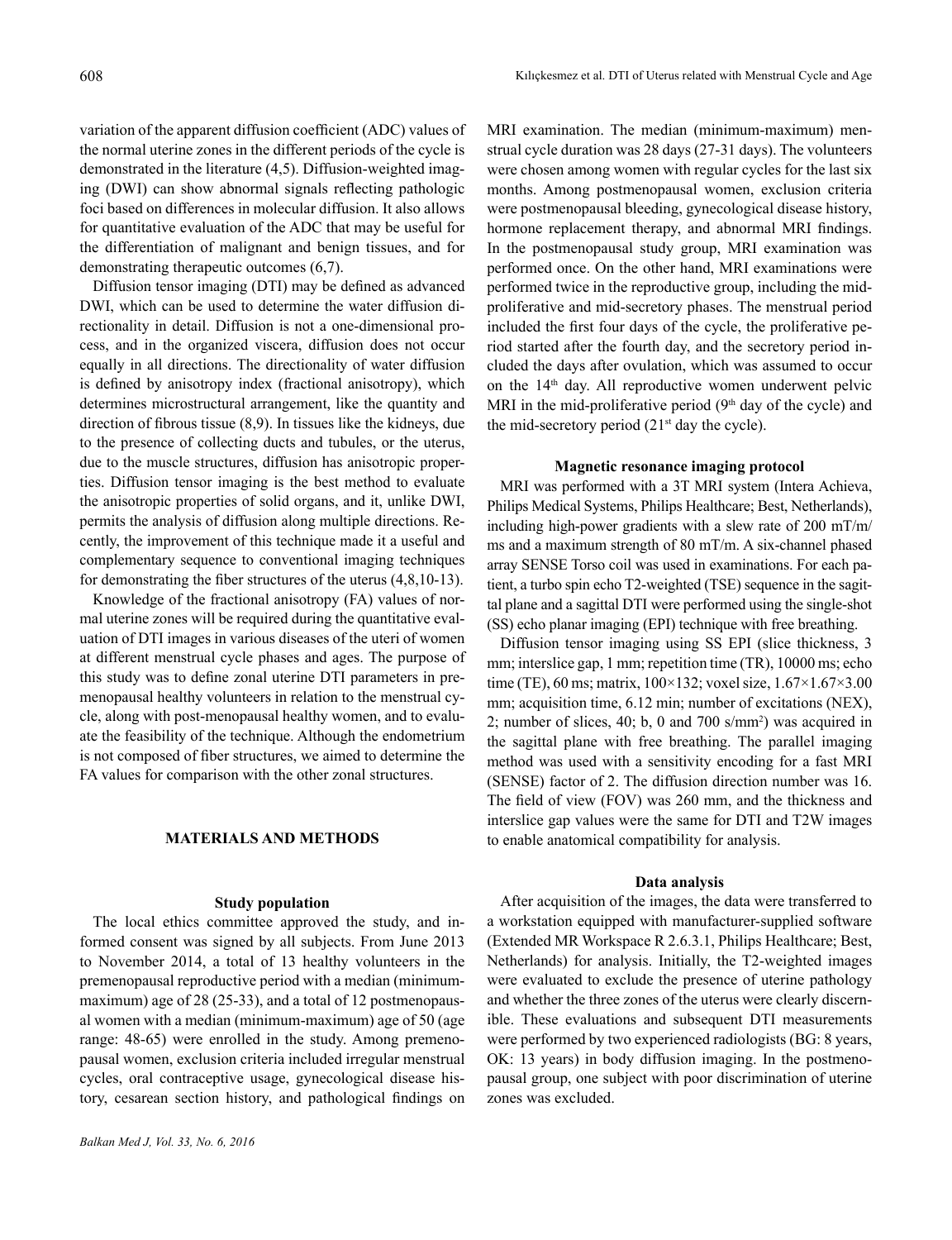variation of the apparent diffusion coefficient (ADC) values of the normal uterine zones in the different periods of the cycle is demonstrated in the literature (4,5). Diffusion-weighted imaging (DWI) can show abnormal signals reflecting pathologic foci based on differences in molecular diffusion. It also allows for quantitative evaluation of the ADC that may be useful for the differentiation of malignant and benign tissues, and for demonstrating therapeutic outcomes (6,7).

Diffusion tensor imaging (DTI) may be defined as advanced DWI, which can be used to determine the water diffusion directionality in detail. Diffusion is not a one-dimensional process, and in the organized viscera, diffusion does not occur equally in all directions. The directionality of water diffusion is defined by anisotropy index (fractional anisotropy), which determines microstructural arrangement, like the quantity and direction of fibrous tissue (8,9). In tissues like the kidneys, due to the presence of collecting ducts and tubules, or the uterus, due to the muscle structures, diffusion has anisotropic properties. Diffusion tensor imaging is the best method to evaluate the anisotropic properties of solid organs, and it, unlike DWI, permits the analysis of diffusion along multiple directions. Recently, the improvement of this technique made it a useful and complementary sequence to conventional imaging techniques for demonstrating the fiber structures of the uterus (4,8,10-13).

Knowledge of the fractional anisotropy (FA) values of normal uterine zones will be required during the quantitative evaluation of DTI images in various diseases of the uteri of women at different menstrual cycle phases and ages. The purpose of this study was to define zonal uterine DTI parameters in premenopausal healthy volunteers in relation to the menstrual cycle, along with post-menopausal healthy women, and to evaluate the feasibility of the technique. Although the endometrium is not composed of fiber structures, we aimed to determine the FA values for comparison with the other zonal structures.

## **MATERIALS AND METHODS**

## **Study population**

The local ethics committee approved the study, and informed consent was signed by all subjects. From June 2013 to November 2014, a total of 13 healthy volunteers in the premenopausal reproductive period with a median (minimummaximum) age of 28 (25-33), and a total of 12 postmenopausal women with a median (minimum-maximum) age of 50 (age range: 48-65) were enrolled in the study. Among premenopausal women, exclusion criteria included irregular menstrual cycles, oral contraceptive usage, gynecological disease history, cesarean section history, and pathological findings on

MRI examination. The median (minimum-maximum) menstrual cycle duration was 28 days (27-31 days). The volunteers were chosen among women with regular cycles for the last six months. Among postmenopausal women, exclusion criteria were postmenopausal bleeding, gynecological disease history, hormone replacement therapy, and abnormal MRI findings. In the postmenopausal study group, MRI examination was performed once. On the other hand, MRI examinations were performed twice in the reproductive group, including the midproliferative and mid-secretory phases. The menstrual period included the first four days of the cycle, the proliferative period started after the fourth day, and the secretory period included the days after ovulation, which was assumed to occur on the 14<sup>th</sup> day. All reproductive women underwent pelvic MRI in the mid-proliferative period  $(9<sup>th</sup>$  day of the cycle) and the mid-secretory period  $(21<sup>st</sup>$  day the cycle).

## **Magnetic resonance imaging protocol**

MRI was performed with a 3T MRI system (Intera Achieva, Philips Medical Systems, Philips Healthcare; Best, Netherlands), including high-power gradients with a slew rate of 200 mT/m/ ms and a maximum strength of 80 mT/m. A six-channel phased array SENSE Torso coil was used in examinations. For each patient, a turbo spin echo T2-weighted (TSE) sequence in the sagittal plane and a sagittal DTI were performed using the single-shot (SS) echo planar imaging (EPI) technique with free breathing.

Diffusion tensor imaging using SS EPI (slice thickness, 3 mm; interslice gap, 1 mm; repetition time (TR), 10000 ms; echo time (TE), 60 ms; matrix, 100×132; voxel size, 1.67×1.67×3.00 mm; acquisition time, 6.12 min; number of excitations (NEX), 2; number of slices, 40; b, 0 and 700 s/mm<sup>2</sup>) was acquired in the sagittal plane with free breathing. The parallel imaging method was used with a sensitivity encoding for a fast MRI (SENSE) factor of 2. The diffusion direction number was 16. The field of view (FOV) was 260 mm, and the thickness and interslice gap values were the same for DTI and T2W images to enable anatomical compatibility for analysis.

#### **Data analysis**

After acquisition of the images, the data were transferred to a workstation equipped with manufacturer-supplied software (Extended MR Workspace R 2.6.3.1, Philips Healthcare; Best, Netherlands) for analysis. Initially, the T2-weighted images were evaluated to exclude the presence of uterine pathology and whether the three zones of the uterus were clearly discernible. These evaluations and subsequent DTI measurements were performed by two experienced radiologists (BG: 8 years, OK: 13 years) in body diffusion imaging. In the postmenopausal group, one subject with poor discrimination of uterine zones was excluded.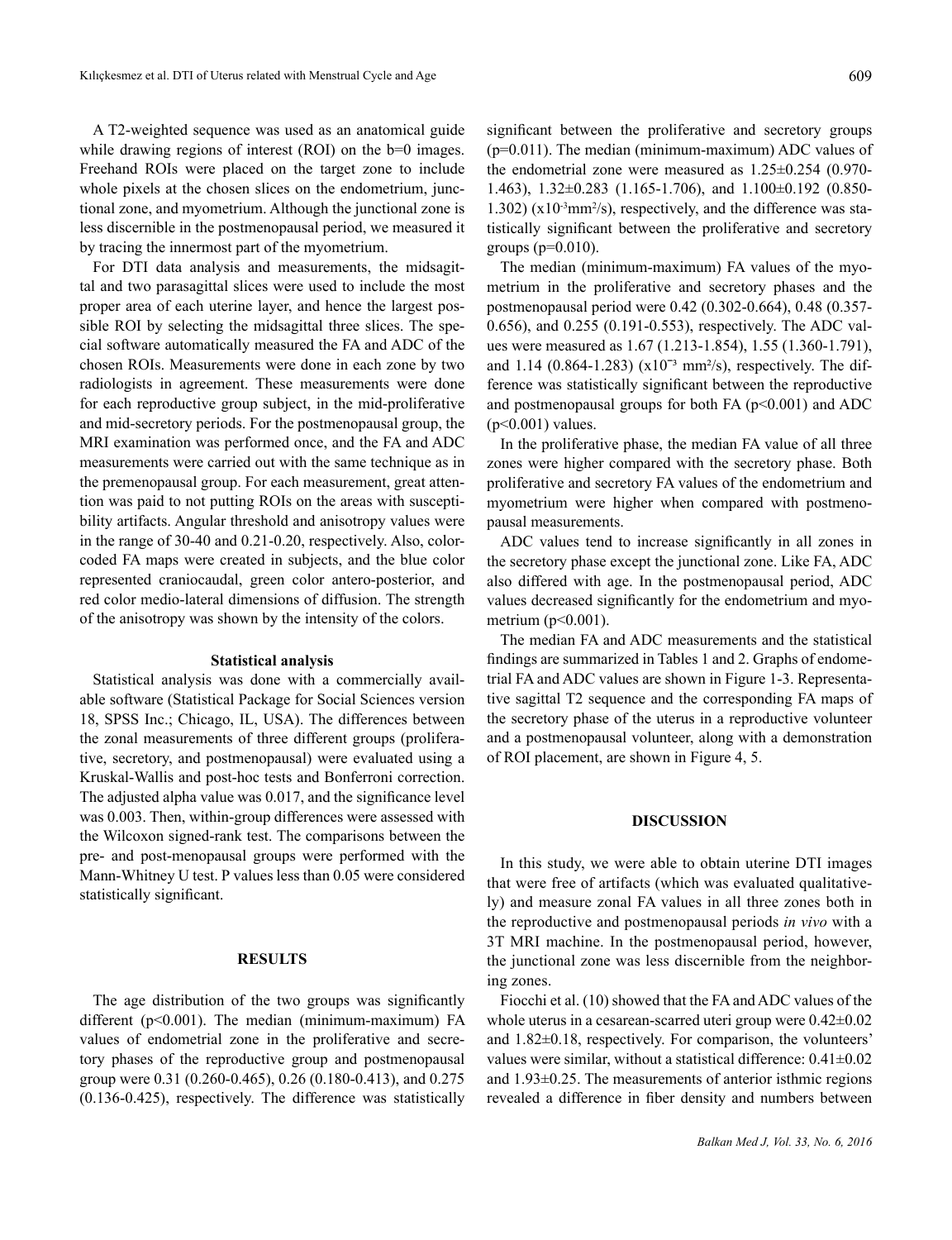A T2-weighted sequence was used as an anatomical guide while drawing regions of interest (ROI) on the b=0 images. Freehand ROIs were placed on the target zone to include whole pixels at the chosen slices on the endometrium, junctional zone, and myometrium. Although the junctional zone is less discernible in the postmenopausal period, we measured it by tracing the innermost part of the myometrium.

For DTI data analysis and measurements, the midsagittal and two parasagittal slices were used to include the most proper area of each uterine layer, and hence the largest possible ROI by selecting the midsagittal three slices. The special software automatically measured the FA and ADC of the chosen ROIs. Measurements were done in each zone by two radiologists in agreement. These measurements were done for each reproductive group subject, in the mid-proliferative and mid-secretory periods. For the postmenopausal group, the MRI examination was performed once, and the FA and ADC measurements were carried out with the same technique as in the premenopausal group. For each measurement, great attention was paid to not putting ROIs on the areas with susceptibility artifacts. Angular threshold and anisotropy values were in the range of 30-40 and 0.21-0.20, respectively. Also, colorcoded FA maps were created in subjects, and the blue color represented craniocaudal, green color antero-posterior, and red color medio-lateral dimensions of diffusion. The strength of the anisotropy was shown by the intensity of the colors.

## **Statistical analysis**

Statistical analysis was done with a commercially available software (Statistical Package for Social Sciences version 18, SPSS Inc.; Chicago, IL, USA). The differences between the zonal measurements of three different groups (proliferative, secretory, and postmenopausal) were evaluated using a Kruskal-Wallis and post-hoc tests and Bonferroni correction. The adjusted alpha value was 0.017, and the significance level was 0.003. Then, within-group differences were assessed with the Wilcoxon signed-rank test. The comparisons between the pre- and post-menopausal groups were performed with the Mann-Whitney U test. P values less than 0.05 were considered statistically significant.

## **RESULTS**

The age distribution of the two groups was significantly different (p<0.001). The median (minimum-maximum) FA values of endometrial zone in the proliferative and secretory phases of the reproductive group and postmenopausal group were 0.31 (0.260-0.465), 0.26 (0.180-0.413), and 0.275 (0.136-0.425), respectively. The difference was statistically

significant between the proliferative and secretory groups (p=0.011). The median (minimum-maximum) ADC values of the endometrial zone were measured as 1.25±0.254 (0.970- 1.463), 1.32±0.283 (1.165-1.706), and 1.100±0.192 (0.850-  $1.302$ ) ( $x10^{-3}$ mm<sup>2</sup>/s), respectively, and the difference was statistically significant between the proliferative and secretory groups  $(p=0.010)$ .

The median (minimum-maximum) FA values of the myometrium in the proliferative and secretory phases and the postmenopausal period were 0.42 (0.302-0.664), 0.48 (0.357- 0.656), and 0.255 (0.191-0.553), respectively. The ADC values were measured as 1.67 (1.213-1.854), 1.55 (1.360-1.791), and 1.14 (0.864-1.283)  $(x10^{-3} \text{ mm}^2/\text{s})$ , respectively. The difference was statistically significant between the reproductive and postmenopausal groups for both FA  $(p<0.001)$  and ADC  $(p<0.001)$  values.

In the proliferative phase, the median FA value of all three zones were higher compared with the secretory phase. Both proliferative and secretory FA values of the endometrium and myometrium were higher when compared with postmenopausal measurements.

ADC values tend to increase significantly in all zones in the secretory phase except the junctional zone. Like FA, ADC also differed with age. In the postmenopausal period, ADC values decreased significantly for the endometrium and myometrium (p<0.001).

The median FA and ADC measurements and the statistical findings are summarized in Tables 1 and 2. Graphs of endometrial FA and ADC values are shown in Figure 1-3. Representative sagittal T2 sequence and the corresponding FA maps of the secretory phase of the uterus in a reproductive volunteer and a postmenopausal volunteer, along with a demonstration of ROI placement, are shown in Figure 4, 5.

### **DISCUSSION**

In this study, we were able to obtain uterine DTI images that were free of artifacts (which was evaluated qualitatively) and measure zonal FA values in all three zones both in the reproductive and postmenopausal periods *in vivo* with a 3T MRI machine. In the postmenopausal period, however, the junctional zone was less discernible from the neighboring zones.

Fiocchi et al. (10) showed that the FA and ADC values of the whole uterus in a cesarean-scarred uteri group were 0.42±0.02 and 1.82±0.18, respectively. For comparison, the volunteers' values were similar, without a statistical difference:  $0.41 \pm 0.02$ and 1.93±0.25. The measurements of anterior isthmic regions revealed a difference in fiber density and numbers between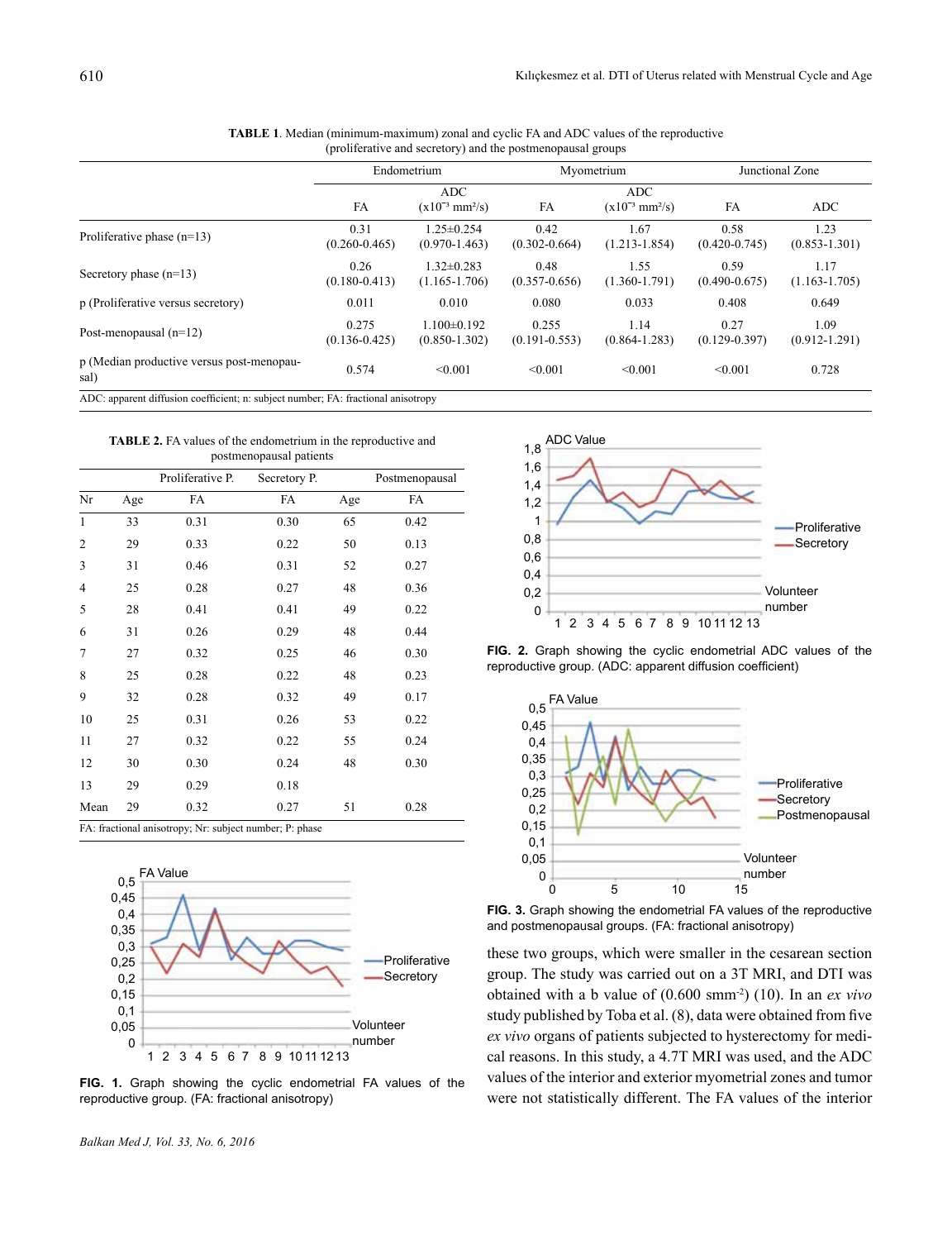|                                                   | Endometrium                |                                         | Myometrium                 |                                               | Junctional Zone           |                           |
|---------------------------------------------------|----------------------------|-----------------------------------------|----------------------------|-----------------------------------------------|---------------------------|---------------------------|
|                                                   | FA                         | ADC.<br>$(x10^{-3}$ mm <sup>2</sup> /s) | FA                         | <b>ADC</b><br>$(x10^{-3}$ mm <sup>2</sup> /s) | FA                        | <b>ADC</b>                |
| Proliferative phase $(n=13)$                      | 0.31<br>$(0.260 - 0.465)$  | $1.25 \pm 0.254$<br>$(0.970 - 1.463)$   | 0.42<br>$(0.302 - 0.664)$  | 1.67<br>$(1.213 - 1.854)$                     | 0.58<br>$(0.420 - 0.745)$ | 1.23<br>$(0.853 - 1.301)$ |
| Secretory phase $(n=13)$                          | 0.26<br>$(0.180 - 0.413)$  | $1.32 \pm 0.283$<br>$(1.165 - 1.706)$   | 0.48<br>$(0.357 - 0.656)$  | 1.55<br>$(1.360 - 1.791)$                     | 0.59<br>$(0.490 - 0.675)$ | 1.17<br>$(1.163 - 1.705)$ |
| p (Proliferative versus secretory)                | 0.011                      | 0.010                                   | 0.080                      | 0.033                                         | 0.408                     | 0.649                     |
| Post-menopausal $(n=12)$                          | 0.275<br>$(0.136 - 0.425)$ | $1.100 \pm 0.192$<br>$(0.850 - 1.302)$  | 0.255<br>$(0.191 - 0.553)$ | 1.14<br>$(0.864 - 1.283)$                     | 0.27<br>$(0.129 - 0.397)$ | 1.09<br>$(0.912 - 1.291)$ |
| p (Median productive versus post-menopau-<br>sal) | 0.574                      | < 0.001                                 | < 0.001                    | < 0.001                                       | < 0.001                   | 0.728                     |

| <b>TABLE 1.</b> Median (minimum-maximum) zonal and cyclic FA and ADC values of the reproductive |                                                             |  |
|-------------------------------------------------------------------------------------------------|-------------------------------------------------------------|--|
|                                                                                                 | (proliferative and secretory) and the postmenopausal groups |  |

**TABLE 2.** FA values of the endometrium in the reproductive and postmenopausal patients

|                                                         |     | Proliferative P. | Secretory P. |     | Postmenopausal |  |
|---------------------------------------------------------|-----|------------------|--------------|-----|----------------|--|
| Nr                                                      | Age | FA               | FA           | Age | FA             |  |
| $\mathbf{1}$                                            | 33  | 0.31             | 0.30         | 65  | 0.42           |  |
| $\overline{2}$                                          | 29  | 0.33             | 0.22         | 50  | 0.13           |  |
| 3                                                       | 31  | 0.46             | 0.31         | 52  | 0.27           |  |
| 4                                                       | 25  | 0.28             | 0.27         | 48  | 0.36           |  |
| 5                                                       | 28  | 0.41             | 0.41         | 49  | 0.22           |  |
| 6                                                       | 31  | 0.26             | 0.29         | 48  | 0.44           |  |
| 7                                                       | 27  | 0.32             | 0.25         | 46  | 0.30           |  |
| 8                                                       | 25  | 0.28             | 0.22         | 48  | 0.23           |  |
| 9                                                       | 32  | 0.28             | 0.32         | 49  | 0.17           |  |
| 10                                                      | 25  | 0.31             | 0.26         | 53  | 0.22           |  |
| 11                                                      | 27  | 0.32             | 0.22         | 55  | 0.24           |  |
| 12                                                      | 30  | 0.30             | 0.24         | 48  | 0.30           |  |
| 13                                                      | 29  | 0.29             | 0.18         |     |                |  |
| Mean                                                    | 29  | 0.32             | 0.27         | 51  | 0.28           |  |
| FA: fractional anisotropy; Nr: subject number; P: phase |     |                  |              |     |                |  |



**FIG. 1.** Graph showing the cyclic endometrial FA values of the reproductive group. (FA: fractional anisotropy)



**FIG. 2.** Graph showing the cyclic endometrial ADC values of the reproductive group. (ADC: apparent diffusion coefficient)



**FIG. 3.** Graph showing the endometrial FA values of the reproductive and postmenopausal groups. (FA: fractional anisotropy)

these two groups, which were smaller in the cesarean section group. The study was carried out on a 3T MRI, and DTI was obtained with a b value of (0.600 smm-2) (10). In an *ex vivo* study published by Toba et al. (8), data were obtained from five *ex vivo* organs of patients subjected to hysterectomy for medical reasons. In this study, a 4.7T MRI was used, and the ADC values of the interior and exterior myometrial zones and tumor were not statistically different. The FA values of the interior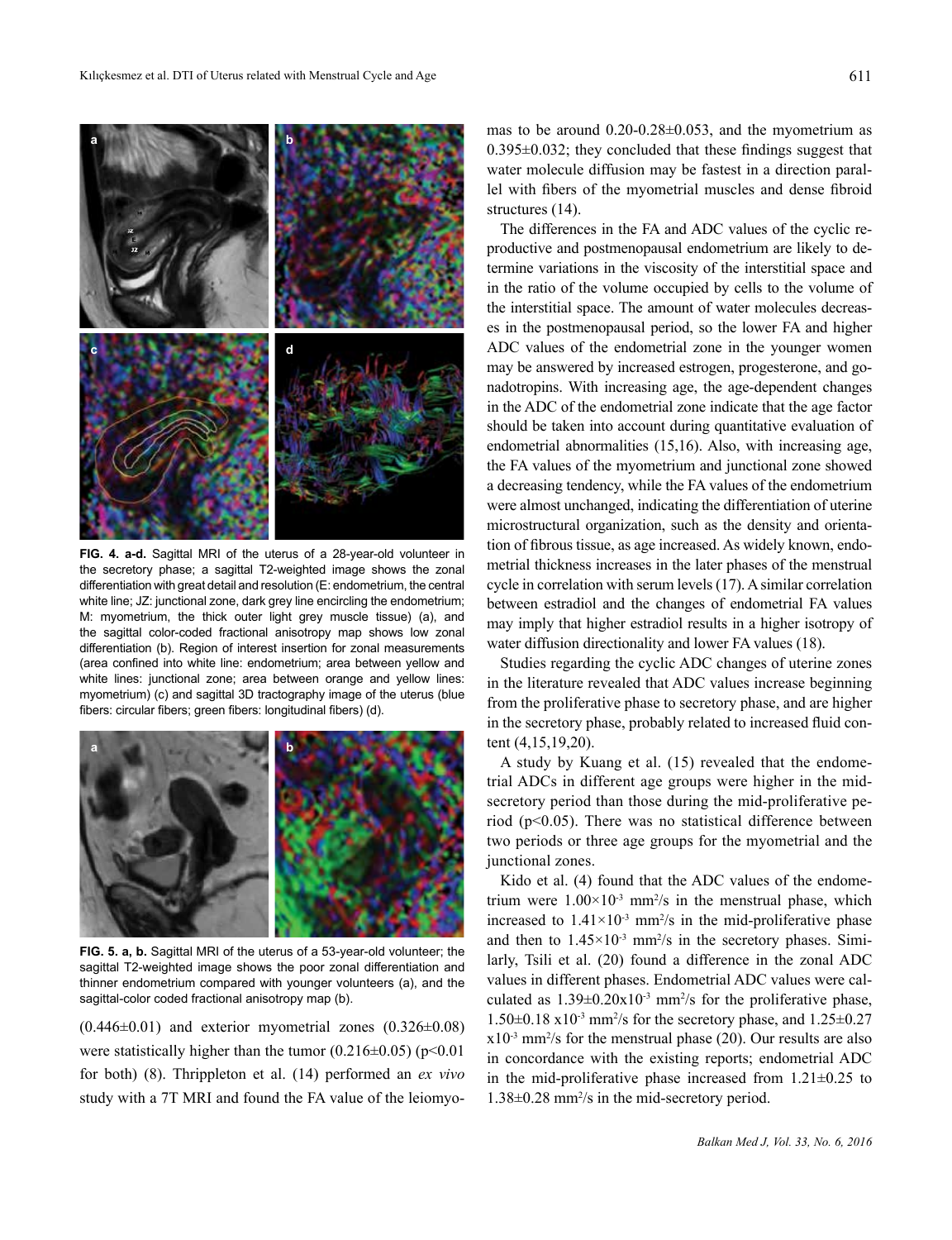

**FIG. 4. a-d.** Sagittal MRI of the uterus of a 28-year-old volunteer in the secretory phase; a sagittal T2-weighted image shows the zonal differentiation with great detail and resolution (E: endometrium, the central white line; JZ: junctional zone, dark grey line encircling the endometrium; M: myometrium, the thick outer light grey muscle tissue) (a), and the sagittal color-coded fractional anisotropy map shows low zonal differentiation (b). Region of interest insertion for zonal measurements (area confined into white line: endometrium; area between yellow and white lines: junctional zone; area between orange and yellow lines: myometrium) (c) and sagittal 3D tractography image of the uterus (blue fibers: circular fibers; green fibers: longitudinal fibers) (d).



**FIG. 5. a, b.** Sagittal MRI of the uterus of a 53-year-old volunteer; the sagittal T2-weighted image shows the poor zonal differentiation and thinner endometrium compared with younger volunteers (a), and the sagittal-color coded fractional anisotropy map (b).

 $(0.446\pm0.01)$  and exterior myometrial zones  $(0.326\pm0.08)$ were statistically higher than the tumor  $(0.216\pm0.05)$  (p<0.01 for both) (8). Thrippleton et al. (14) performed an *ex vivo* study with a 7T MRI and found the FA value of the leiomyomas to be around 0.20-0.28±0.053, and the myometrium as 0.395±0.032; they concluded that these findings suggest that water molecule diffusion may be fastest in a direction parallel with fibers of the myometrial muscles and dense fibroid structures (14).

The differences in the FA and ADC values of the cyclic reproductive and postmenopausal endometrium are likely to determine variations in the viscosity of the interstitial space and in the ratio of the volume occupied by cells to the volume of the interstitial space. The amount of water molecules decreases in the postmenopausal period, so the lower FA and higher ADC values of the endometrial zone in the younger women may be answered by increased estrogen, progesterone, and gonadotropins. With increasing age, the age-dependent changes in the ADC of the endometrial zone indicate that the age factor should be taken into account during quantitative evaluation of endometrial abnormalities (15,16). Also, with increasing age, the FA values of the myometrium and junctional zone showed a decreasing tendency, while the FA values of the endometrium were almost unchanged, indicating the differentiation of uterine microstructural organization, such as the density and orientation of fibrous tissue, as age increased. As widely known, endometrial thickness increases in the later phases of the menstrual cycle in correlation with serum levels (17). A similar correlation between estradiol and the changes of endometrial FA values may imply that higher estradiol results in a higher isotropy of water diffusion directionality and lower FA values (18).

Studies regarding the cyclic ADC changes of uterine zones in the literature revealed that ADC values increase beginning from the proliferative phase to secretory phase, and are higher in the secretory phase, probably related to increased fluid content (4,15,19,20).

A study by Kuang et al. (15) revealed that the endometrial ADCs in different age groups were higher in the midsecretory period than those during the mid-proliferative period (p<0.05). There was no statistical difference between two periods or three age groups for the myometrial and the junctional zones.

Kido et al. (4) found that the ADC values of the endometrium were  $1.00 \times 10^{-3}$  mm<sup>2</sup>/s in the menstrual phase, which increased to  $1.41 \times 10^{-3}$  mm<sup>2</sup>/s in the mid-proliferative phase and then to  $1.45 \times 10^{-3}$  mm<sup>2</sup>/s in the secretory phases. Similarly, Tsili et al. (20) found a difference in the zonal ADC values in different phases. Endometrial ADC values were calculated as  $1.39 \pm 0.20 \times 10^{-3}$  mm<sup>2</sup>/s for the proliferative phase,  $1.50\pm0.18$  x $10^{-3}$  mm<sup>2</sup>/s for the secretory phase, and  $1.25\pm0.27$  $x10^{-3}$  mm<sup>2</sup>/s for the menstrual phase (20). Our results are also in concordance with the existing reports; endometrial ADC in the mid-proliferative phase increased from  $1.21 \pm 0.25$  to 1.38±0.28 mm2 /s in the mid-secretory period.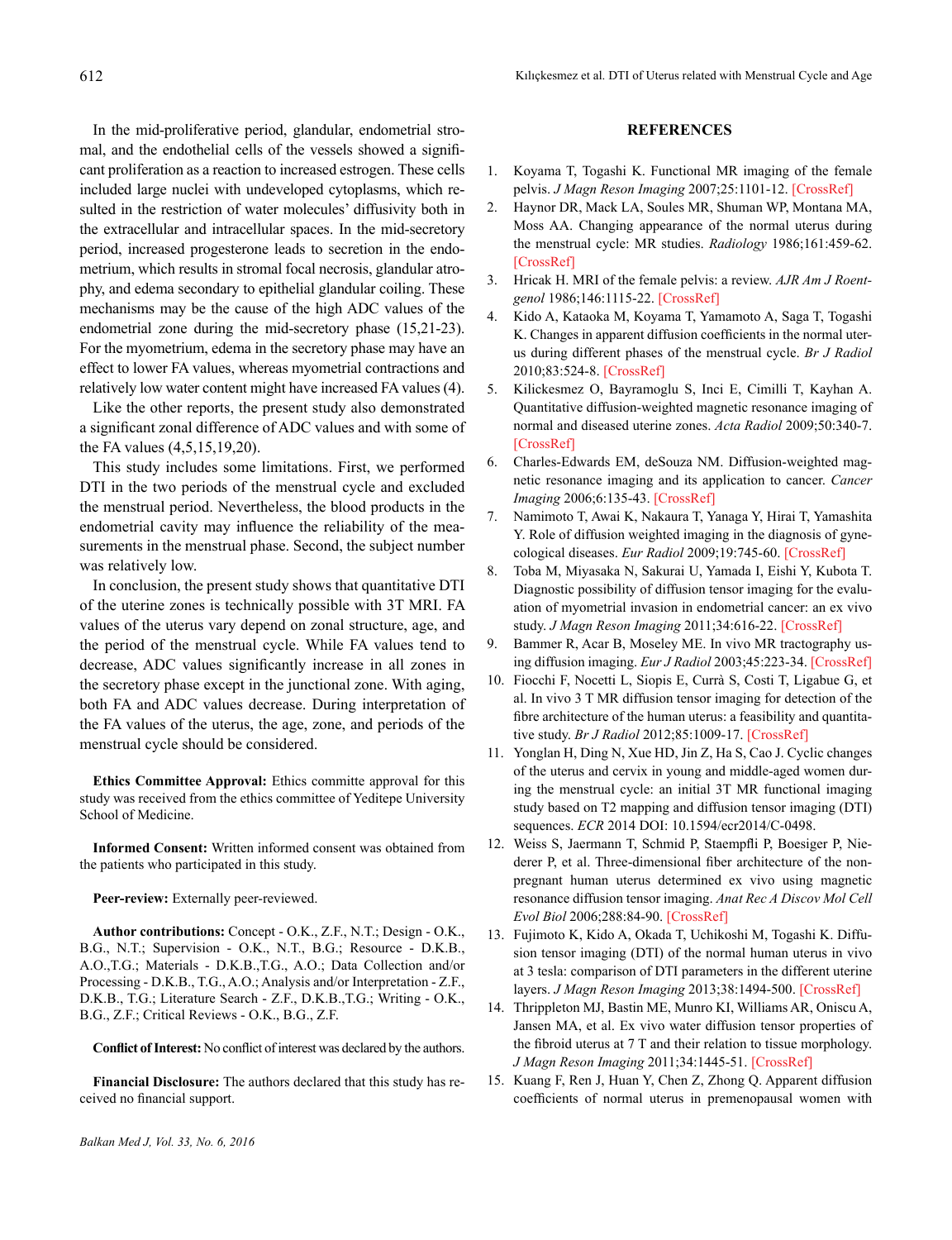In the mid-proliferative period, glandular, endometrial stromal, and the endothelial cells of the vessels showed a significant proliferation as a reaction to increased estrogen. These cells included large nuclei with undeveloped cytoplasms, which resulted in the restriction of water molecules' diffusivity both in the extracellular and intracellular spaces. In the mid-secretory period, increased progesterone leads to secretion in the endometrium, which results in stromal focal necrosis, glandular atrophy, and edema secondary to epithelial glandular coiling. These mechanisms may be the cause of the high ADC values of the endometrial zone during the mid-secretory phase (15,21-23). For the myometrium, edema in the secretory phase may have an effect to lower FA values, whereas myometrial contractions and relatively low water content might have increased FA values (4).

Like the other reports, the present study also demonstrated a significant zonal difference of ADC values and with some of the FA values (4,5,15,19,20).

This study includes some limitations. First, we performed DTI in the two periods of the menstrual cycle and excluded the menstrual period. Nevertheless, the blood products in the endometrial cavity may influence the reliability of the measurements in the menstrual phase. Second, the subject number was relatively low.

In conclusion, the present study shows that quantitative DTI of the uterine zones is technically possible with 3T MRI. FA values of the uterus vary depend on zonal structure, age, and the period of the menstrual cycle. While FA values tend to decrease, ADC values significantly increase in all zones in the secretory phase except in the junctional zone. With aging, both FA and ADC values decrease. During interpretation of the FA values of the uterus, the age, zone, and periods of the menstrual cycle should be considered.

**Ethics Committee Approval:** Ethics committe approval for this study was received from the ethics committee of Yeditepe University School of Medicine.

**Informed Consent:** Written informed consent was obtained from the patients who participated in this study.

**Peer-review:** Externally peer-reviewed.

**Author contributions:** Concept - O.K., Z.F., N.T.; Design - O.K., B.G., N.T.; Supervision - O.K., N.T., B.G.; Resource - D.K.B., A.O.,T.G.; Materials - D.K.B.,T.G., A.O.; Data Collection and/or Processing - D.K.B., T.G., A.O.; Analysis and/or Interpretation - Z.F., D.K.B., T.G.; Literature Search - Z.F., D.K.B.,T.G.; Writing - O.K., B.G., Z.F.; Critical Reviews - O.K., B.G., Z.F.

**Conflict of Interest:** No conflict of interest was declared by the authors.

**Financial Disclosure:** The authors declared that this study has received no financial support.

## **REFERENCES**

- 1. Koyama T, Togashi K. Functional MR imaging of the female pelvis. *J Magn Reson Imaging* 2007;25:1101-12. [[CrossRef](https://doi.org/10.1002/jmri.20913)]
- 2. Haynor DR, Mack LA, Soules MR, Shuman WP, Montana MA, Moss AA. Changing appearance of the normal uterus during the menstrual cycle: MR studies. *Radiology* 1986;161:459-62. [[CrossRef](https://doi.org/10.1148/radiology.161.2.3532190)]
- 3. Hricak H. MRI of the female pelvis: a review. *AJR Am J Roentgenol* 1986;146:1115-22. [\[CrossRef\]](https://doi.org/10.2214/ajr.146.6.1115)
- 4. Kido A, Kataoka M, Koyama T, Yamamoto A, Saga T, Togashi K. Changes in apparent diffusion coefficients in the normal uterus during different phases of the menstrual cycle. *Br J Radiol* 2010;83:524-8. [\[CrossRef\]](https://doi.org/10.1259/bjr/11056533)
- 5. Kilickesmez O, Bayramoglu S, Inci E, Cimilli T, Kayhan A. Quantitative diffusion-weighted magnetic resonance imaging of normal and diseased uterine zones. *Acta Radiol* 2009;50:340-7. [[CrossRef](https://doi.org/10.1080/02841850902735858)]
- 6. Charles-Edwards EM, deSouza NM. Diffusion-weighted magnetic resonance imaging and its application to cancer. *Cancer Imaging* 2006;6:135-43. [[CrossRef](https://doi.org/10.1102/1470-7330.2006.0021)]
- 7. Namimoto T, Awai K, Nakaura T, Yanaga Y, Hirai T, Yamashita Y. Role of diffusion weighted imaging in the diagnosis of gynecological diseases. *Eur Radiol* 2009;19:745-60. [\[CrossRef\]](https://doi.org/10.1007/s00330-008-1185-5)
- 8. Toba M, Miyasaka N, Sakurai U, Yamada I, Eishi Y, Kubota T. Diagnostic possibility of diffusion tensor imaging for the evaluation of myometrial invasion in endometrial cancer: an ex vivo study. *J Magn Reson Imaging* 2011;34:616-22. [[CrossRef](https://doi.org/10.1002/jmri.22693)]
- 9. Bammer R, Acar B, Moseley ME. In vivo MR tractography using diffusion imaging. *Eur J Radiol* 2003;45:223-34. [[CrossRef](https://doi.org/10.1016/S0720-048X(02)00311-X)]
- 10. Fiocchi F, Nocetti L, Siopis E, Currà S, Costi T, Ligabue G, et al. In vivo 3 T MR diffusion tensor imaging for detection of the fibre architecture of the human uterus: a feasibility and quantitative study. *Br J Radiol* 2012;85:1009-17. [\[CrossRef\]](https://doi.org/10.1259/bjr/76693739)
- 11. Yonglan H, Ding N, Xue HD, Jin Z, Ha S, Cao J. Cyclic changes of the uterus and cervix in young and middle-aged women during the menstrual cycle: an initial 3T MR functional imaging study based on T2 mapping and diffusion tensor imaging (DTI) sequences. *ECR* 2014 DOI: 10.1594/ecr2014/C-0498.
- 12. Weiss S, Jaermann T, Schmid P, Staempfli P, Boesiger P, Niederer P, et al. Three-dimensional fiber architecture of the nonpregnant human uterus determined ex vivo using magnetic resonance diffusion tensor imaging. *Anat Rec A Discov Mol Cell Evol Biol* 2006;288:84-90. [[CrossRef](https://doi.org/10.1002/ar.a.20274)]
- 13. Fujimoto K, Kido A, Okada T, Uchikoshi M, Togashi K. Diffusion tensor imaging (DTI) of the normal human uterus in vivo at 3 tesla: comparison of DTI parameters in the different uterine layers. *J Magn Reson Imaging* 2013;38:1494-500. [[CrossRef](https://doi.org/10.1002/jmri.24114)]
- 14. Thrippleton MJ, Bastin ME, Munro KI, Williams AR, Oniscu A, Jansen MA, et al. Ex vivo water diffusion tensor properties of the fibroid uterus at 7 T and their relation to tissue morphology. *J Magn Reson Imaging* 2011;34:1445-51. [[CrossRef](https://doi.org/10.1002/jmri.22793)]
- 15. Kuang F, Ren J, Huan Y, Chen Z, Zhong Q. Apparent diffusion coefficients of normal uterus in premenopausal women with